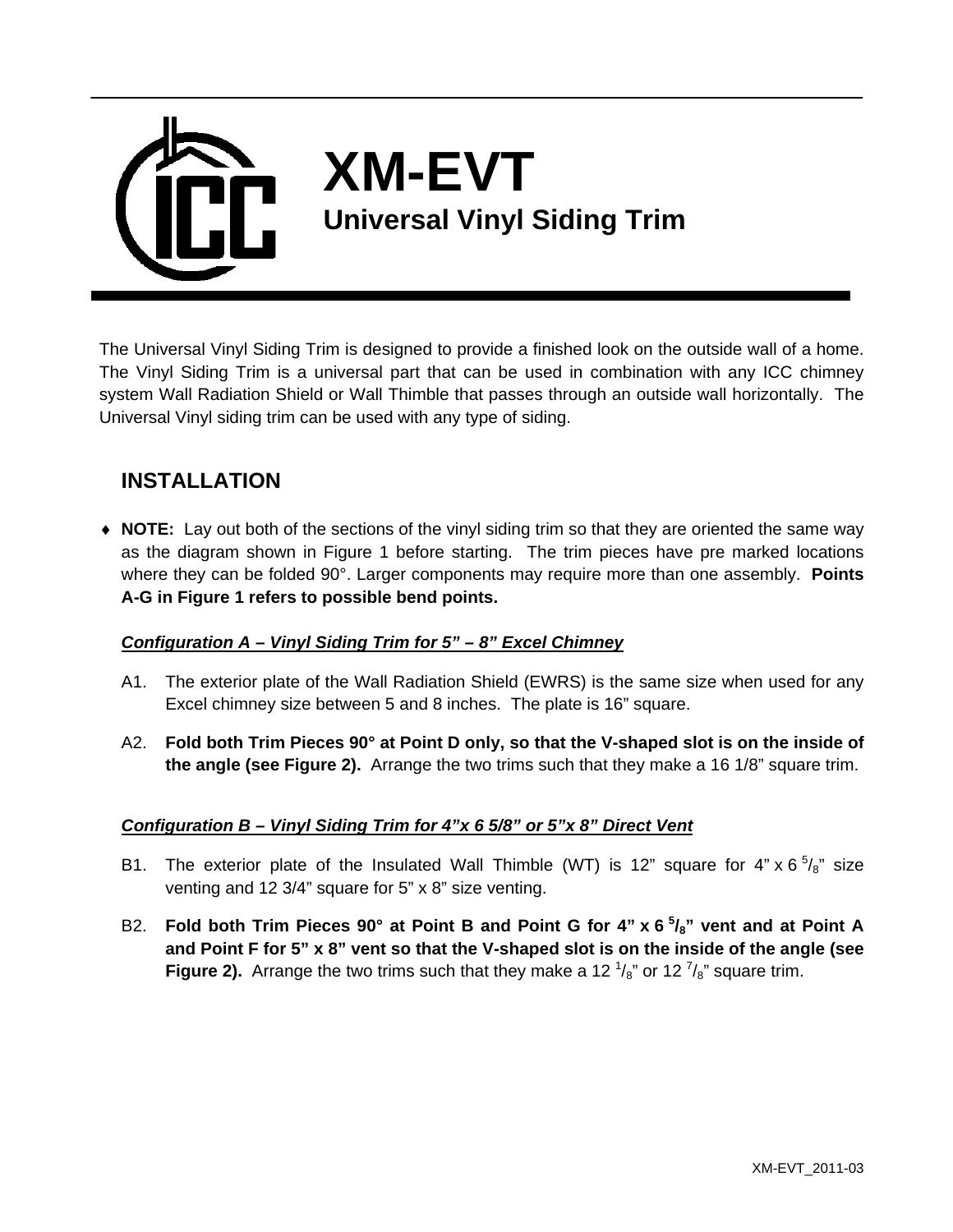

The Universal Vinyl Siding Trim is designed to provide a finished look on the outside wall of a home. The Vinyl Siding Trim is a universal part that can be used in combination with any ICC chimney system Wall Radiation Shield or Wall Thimble that passes through an outside wall horizontally. The Universal Vinyl siding trim can be used with any type of siding.

# **INSTALLATION**

♦ **NOTE:** Lay out both of the sections of the vinyl siding trim so that they are oriented the same way as the diagram shown in Figure 1 before starting. The trim pieces have pre marked locations where they can be folded 90°. Larger components may require more than one assembly. **Points A-G in Figure 1 refers to possible bend points.**

#### *Configuration A – Vinyl Siding Trim for 5" – 8" Excel Chimney*

- A1. The exterior plate of the Wall Radiation Shield (EWRS) is the same size when used for any Excel chimney size between 5 and 8 inches. The plate is 16" square.
- A2. **Fold both Trim Pieces 90° at Point D only, so that the V-shaped slot is on the inside of the angle (see Figure 2).** Arrange the two trims such that they make a 16 1/8" square trim.

## *Configuration B – Vinyl Siding Trim for 4"x 6 5/8" or 5"x 8" Direct Vent*

- B1. The exterior plate of the Insulated Wall Thimble (WT) is 12" square for  $4" \times 6 \frac{5}{8}$ " size venting and 12 3/4" square for 5" x 8" size venting.
- B2. Fold both Trim Pieces 90° at Point B and Point G for 4" x 6<sup>5</sup>/<sub>8</sub>" vent and at Point A **and Point F for 5" x 8" vent so that the V-shaped slot is on the inside of the angle (see Figure 2).** Arrange the two trims such that they make a 12  $\frac{1}{8}$  or 12  $\frac{7}{8}$  square trim.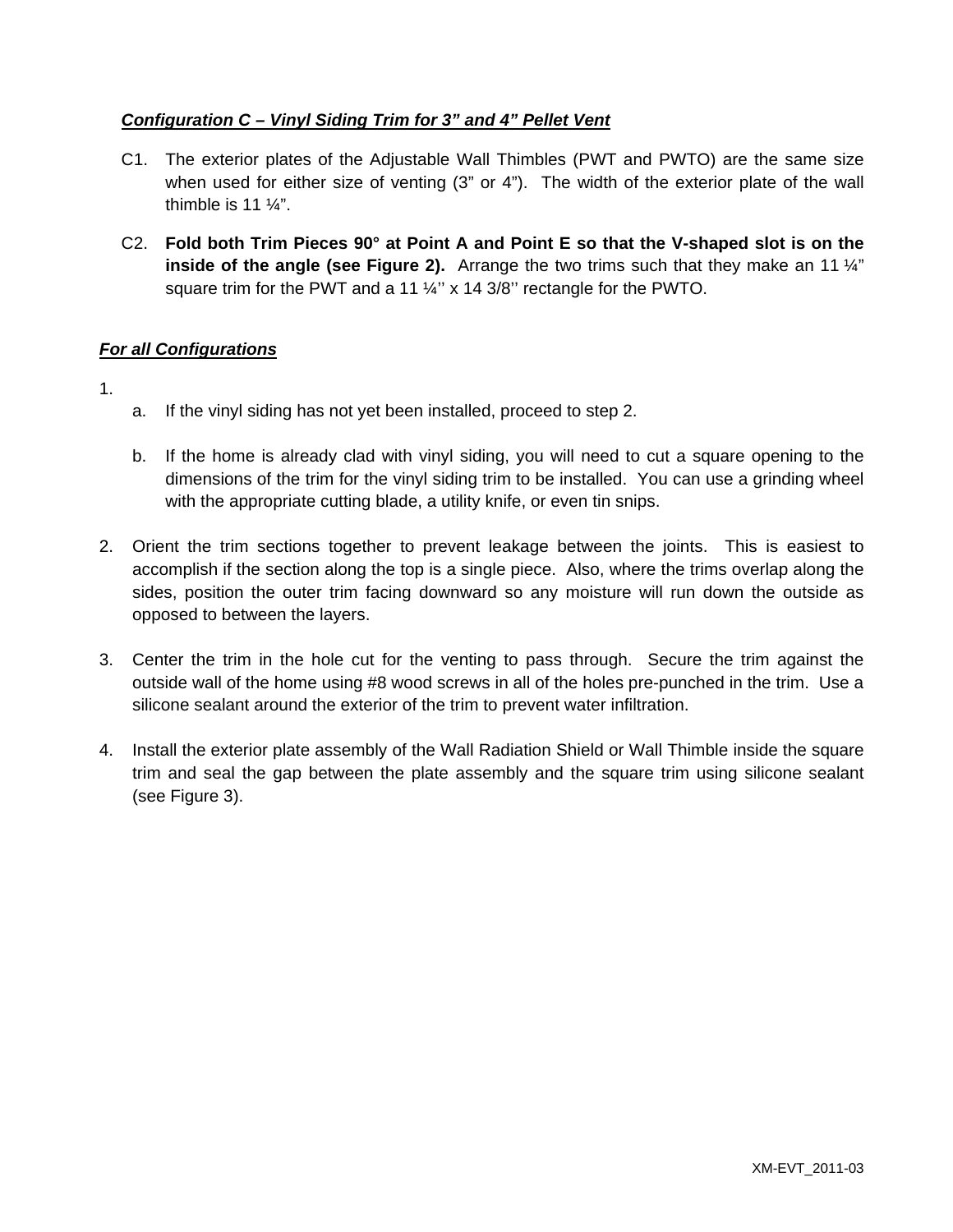### *Configuration C – Vinyl Siding Trim for 3" and 4" Pellet Vent*

- C1. The exterior plates of the Adjustable Wall Thimbles (PWT and PWTO) are the same size when used for either size of venting (3" or 4"). The width of the exterior plate of the wall thimble is 11 ¼".
- C2. **Fold both Trim Pieces 90° at Point A and Point E so that the V-shaped slot is on the inside of the angle (see Figure 2).** Arrange the two trims such that they make an 11  $\frac{1}{4}$ " square trim for the PWT and a 11 1/4" x 14 3/8" rectangle for the PWTO.

#### *For all Configurations*

- 1.
- a. If the vinyl siding has not yet been installed, proceed to step 2.
- b. If the home is already clad with vinyl siding, you will need to cut a square opening to the dimensions of the trim for the vinyl siding trim to be installed. You can use a grinding wheel with the appropriate cutting blade, a utility knife, or even tin snips.
- 2. Orient the trim sections together to prevent leakage between the joints. This is easiest to accomplish if the section along the top is a single piece. Also, where the trims overlap along the sides, position the outer trim facing downward so any moisture will run down the outside as opposed to between the layers.
- 3. Center the trim in the hole cut for the venting to pass through. Secure the trim against the outside wall of the home using #8 wood screws in all of the holes pre-punched in the trim. Use a silicone sealant around the exterior of the trim to prevent water infiltration.
- 4. Install the exterior plate assembly of the Wall Radiation Shield or Wall Thimble inside the square trim and seal the gap between the plate assembly and the square trim using silicone sealant (see Figure 3).